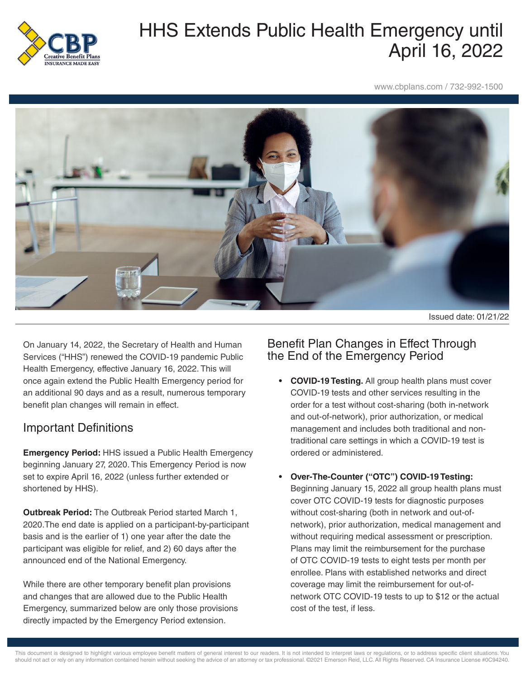

# HHS Extends Public Health Emergency until April 16, 2022

www.cbplans.com / 732-992-1500



Issued date: 01/21/22

On January 14, 2022, the Secretary of Health and Human Services ("HHS") renewed the COVID-19 pandemic Public Health Emergency, effective January 16, 2022. This will once again extend the Public Health Emergency period for an additional 90 days and as a result, numerous temporary benefit plan changes will remain in effect.

### Important Definitions

**Emergency Period:** HHS issued a Public Health Emergency beginning January 27, 2020. This Emergency Period is now set to expire April 16, 2022 (unless further extended or shortened by HHS).

**Outbreak Period:** The Outbreak Period started March 1, 2020.The end date is applied on a participant-by-participant basis and is the earlier of 1) one year after the date the participant was eligible for relief, and 2) 60 days after the announced end of the National Emergency.

While there are other temporary benefit plan provisions and changes that are allowed due to the Public Health Emergency, summarized below are only those provisions directly impacted by the Emergency Period extension.

#### Benefit Plan Changes in Effect Through the End of the Emergency Period

- **• COVID-19 Testing.** All group health plans must cover COVID-19 tests and other services resulting in the order for a test without cost-sharing (both in-network and out-of-network), prior authorization, or medical management and includes both traditional and nontraditional care settings in which a COVID-19 test is ordered or administered.
- **• Over-The-Counter ("OTC") COVID-19 Testing:** Beginning January 15, 2022 all group health plans must cover OTC COVID-19 tests for diagnostic purposes without cost-sharing (both in network and out-ofnetwork), prior authorization, medical management and without requiring medical assessment or prescription. Plans may limit the reimbursement for the purchase of OTC COVID-19 tests to eight tests per month per enrollee. Plans with established networks and direct coverage may limit the reimbursement for out-ofnetwork OTC COVID-19 tests to up to \$12 or the actual cost of the test, if less.